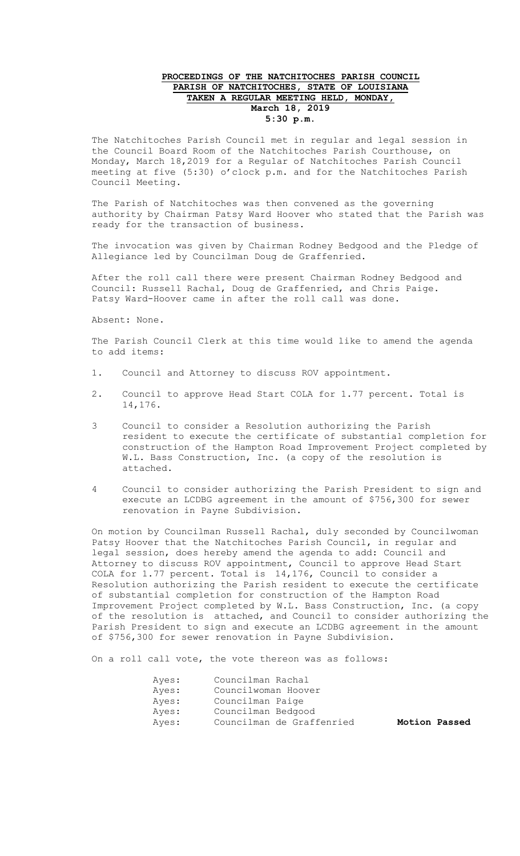## **PROCEEDINGS OF THE NATCHITOCHES PARISH COUNCIL PARISH OF NATCHITOCHES, STATE OF LOUISIANA TAKEN A REGULAR MEETING HELD, MONDAY, March 18, 2019 5:30 p.m.**

The Natchitoches Parish Council met in regular and legal session in the Council Board Room of the Natchitoches Parish Courthouse, on Monday, March 18,2019 for a Regular of Natchitoches Parish Council meeting at five (5:30) o'clock p.m. and for the Natchitoches Parish Council Meeting.

The Parish of Natchitoches was then convened as the governing authority by Chairman Patsy Ward Hoover who stated that the Parish was ready for the transaction of business.

The invocation was given by Chairman Rodney Bedgood and the Pledge of Allegiance led by Councilman Doug de Graffenried.

After the roll call there were present Chairman Rodney Bedgood and Council: Russell Rachal, Doug de Graffenried, and Chris Paige. Patsy Ward-Hoover came in after the roll call was done.

## Absent: None.

The Parish Council Clerk at this time would like to amend the agenda to add items:

- 1. Council and Attorney to discuss ROV appointment.
- 2. Council to approve Head Start COLA for 1.77 percent. Total is 14,176.
- 3 Council to consider a Resolution authorizing the Parish resident to execute the certificate of substantial completion for construction of the Hampton Road Improvement Project completed by W.L. Bass Construction, Inc. (a copy of the resolution is attached.
- 4 Council to consider authorizing the Parish President to sign and execute an LCDBG agreement in the amount of \$756,300 for sewer renovation in Payne Subdivision.

On motion by Councilman Russell Rachal, duly seconded by Councilwoman Patsy Hoover that the Natchitoches Parish Council, in regular and legal session, does hereby amend the agenda to add: Council and Attorney to discuss ROV appointment, Council to approve Head Start COLA for 1.77 percent. Total is 14,176, Council to consider a Resolution authorizing the Parish resident to execute the certificate of substantial completion for construction of the Hampton Road Improvement Project completed by W.L. Bass Construction, Inc. (a copy of the resolution is attached, and Council to consider authorizing the Parish President to sign and execute an LCDBG agreement in the amount of \$756,300 for sewer renovation in Payne Subdivision.

On a roll call vote, the vote thereon was as follows:

| Ayes: | Councilman Rachal         |               |  |
|-------|---------------------------|---------------|--|
| Ayes: | Councilwoman Hoover       |               |  |
| Ayes: | Councilman Paige          |               |  |
| Ayes: | Councilman Bedgood        |               |  |
| Ayes: | Councilman de Graffenried | Motion Passed |  |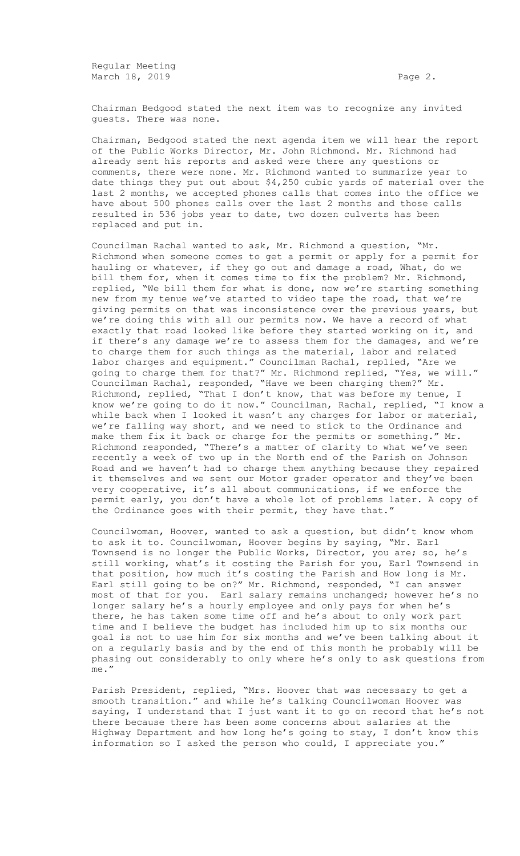Regular Meeting March 18, 2019 **Page 2. Page 2. Page 2.** 

Chairman Bedgood stated the next item was to recognize any invited guests. There was none.

Chairman, Bedgood stated the next agenda item we will hear the report of the Public Works Director, Mr. John Richmond. Mr. Richmond had already sent his reports and asked were there any questions or comments, there were none. Mr. Richmond wanted to summarize year to date things they put out about \$4,250 cubic yards of material over the last 2 months, we accepted phones calls that comes into the office we have about 500 phones calls over the last 2 months and those calls resulted in 536 jobs year to date, two dozen culverts has been replaced and put in.

Councilman Rachal wanted to ask, Mr. Richmond a question, "Mr. Richmond when someone comes to get a permit or apply for a permit for hauling or whatever, if they go out and damage a road, What, do we bill them for, when it comes time to fix the problem? Mr. Richmond, replied, "We bill them for what is done, now we're starting something new from my tenue we've started to video tape the road, that we're giving permits on that was inconsistence over the previous years, but we're doing this with all our permits now. We have a record of what exactly that road looked like before they started working on it, and if there's any damage we're to assess them for the damages, and we're to charge them for such things as the material, labor and related labor charges and equipment." Councilman Rachal, replied, "Are we going to charge them for that?" Mr. Richmond replied, "Yes, we will." Councilman Rachal, responded, "Have we been charging them?" Mr. Richmond, replied, "That I don't know, that was before my tenue, I know we're going to do it now." Councilman, Rachal, replied, "I know a while back when I looked it wasn't any charges for labor or material, we're falling way short, and we need to stick to the Ordinance and make them fix it back or charge for the permits or something." Mr. Richmond responded, "There's a matter of clarity to what we've seen recently a week of two up in the North end of the Parish on Johnson Road and we haven't had to charge them anything because they repaired it themselves and we sent our Motor grader operator and they've been very cooperative, it's all about communications, if we enforce the permit early, you don't have a whole lot of problems later. A copy of the Ordinance goes with their permit, they have that."

Councilwoman, Hoover, wanted to ask a question, but didn't know whom to ask it to. Councilwoman, Hoover begins by saying, "Mr. Earl Townsend is no longer the Public Works, Director, you are; so, he's still working, what's it costing the Parish for you, Earl Townsend in that position, how much it's costing the Parish and How long is Mr. Earl still going to be on?" Mr. Richmond, responded, "I can answer most of that for you. Earl salary remains unchanged; however he's no longer salary he's a hourly employee and only pays for when he's there, he has taken some time off and he's about to only work part time and I believe the budget has included him up to six months our goal is not to use him for six months and we've been talking about it on a regularly basis and by the end of this month he probably will be phasing out considerably to only where he's only to ask questions from me."

Parish President, replied, "Mrs. Hoover that was necessary to get a smooth transition." and while he's talking Councilwoman Hoover was saying, I understand that I just want it to go on record that he's not there because there has been some concerns about salaries at the Highway Department and how long he's going to stay, I don't know this information so I asked the person who could, I appreciate you."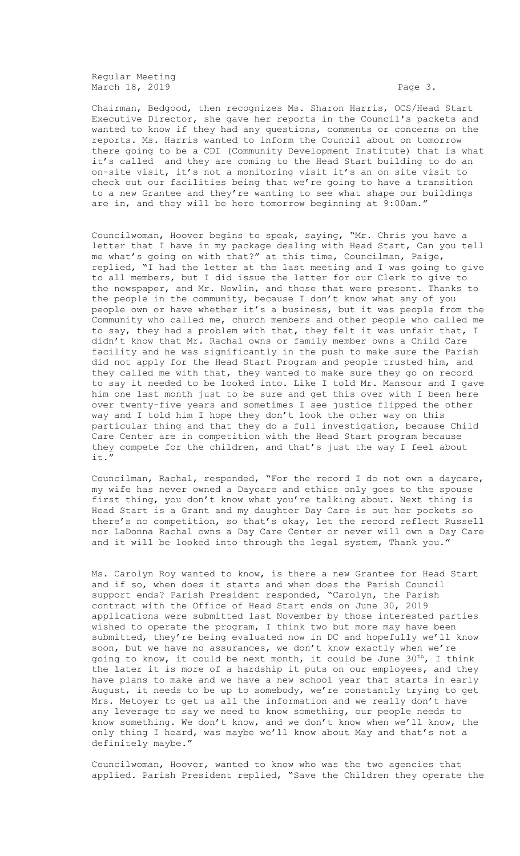Regular Meeting March 18, 2019 **Page 3.** Page 3.

Chairman, Bedgood, then recognizes Ms. Sharon Harris, OCS/Head Start Executive Director, she gave her reports in the Council's packets and wanted to know if they had any questions, comments or concerns on the reports. Ms. Harris wanted to inform the Council about on tomorrow there going to be a CDI (Community Development Institute) that is what it's called and they are coming to the Head Start building to do an on-site visit, it's not a monitoring visit it's an on site visit to check out our facilities being that we're going to have a transition to a new Grantee and they're wanting to see what shape our buildings are in, and they will be here tomorrow beginning at 9:00am."

Councilwoman, Hoover begins to speak, saying, "Mr. Chris you have a letter that I have in my package dealing with Head Start, Can you tell me what's going on with that?" at this time, Councilman, Paige, replied, "I had the letter at the last meeting and I was going to give to all members, but I did issue the letter for our Clerk to give to the newspaper, and Mr. Nowlin, and those that were present. Thanks to the people in the community, because I don't know what any of you people own or have whether it's a business, but it was people from the Community who called me, church members and other people who called me to say, they had a problem with that, they felt it was unfair that, I didn't know that Mr. Rachal owns or family member owns a Child Care facility and he was significantly in the push to make sure the Parish did not apply for the Head Start Program and people trusted him, and they called me with that, they wanted to make sure they go on record to say it needed to be looked into. Like I told Mr. Mansour and I gave him one last month just to be sure and get this over with I been here over twenty-five years and sometimes I see justice flipped the other way and I told him I hope they don't look the other way on this particular thing and that they do a full investigation, because Child Care Center are in competition with the Head Start program because they compete for the children, and that's just the way I feel about it."

Councilman, Rachal, responded, "For the record I do not own a daycare, my wife has never owned a Daycare and ethics only goes to the spouse first thing, you don't know what you're talking about. Next thing is Head Start is a Grant and my daughter Day Care is out her pockets so there's no competition, so that's okay, let the record reflect Russell nor LaDonna Rachal owns a Day Care Center or never will own a Day Care and it will be looked into through the legal system, Thank you."

Ms. Carolyn Roy wanted to know, is there a new Grantee for Head Start and if so, when does it starts and when does the Parish Council support ends? Parish President responded, "Carolyn, the Parish contract with the Office of Head Start ends on June 30, 2019 applications were submitted last November by those interested parties wished to operate the program, I think two but more may have been submitted, they're being evaluated now in DC and hopefully we'll know soon, but we have no assurances, we don't know exactly when we're going to know, it could be next month, it could be June  $30^{th}$ , I think the later it is more of a hardship it puts on our employees, and they have plans to make and we have a new school year that starts in early August, it needs to be up to somebody, we're constantly trying to get Mrs. Metoyer to get us all the information and we really don't have any leverage to say we need to know something, our people needs to know something. We don't know, and we don't know when we'll know, the only thing I heard, was maybe we'll know about May and that's not a definitely maybe."

Councilwoman, Hoover, wanted to know who was the two agencies that applied. Parish President replied, "Save the Children they operate the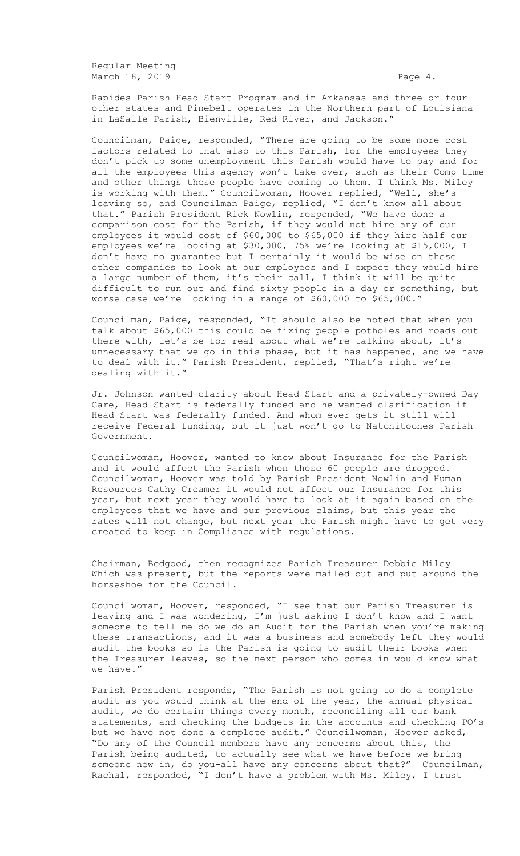Regular Meeting March 18, 2019 **Page 4.** 

Rapides Parish Head Start Program and in Arkansas and three or four other states and Pinebelt operates in the Northern part of Louisiana in LaSalle Parish, Bienville, Red River, and Jackson.'

Councilman, Paige, responded, "There are going to be some more cost factors related to that also to this Parish, for the employees they don't pick up some unemployment this Parish would have to pay and for all the employees this agency won't take over, such as their Comp time and other things these people have coming to them. I think Ms. Miley is working with them." Councilwoman, Hoover replied, "Well, she's leaving so, and Councilman Paige, replied, "I don't know all about that." Parish President Rick Nowlin, responded, "We have done a comparison cost for the Parish, if they would not hire any of our employees it would cost of \$60,000 to \$65,000 if they hire half our employees we're looking at \$30,000, 75% we're looking at \$15,000, I don't have no guarantee but I certainly it would be wise on these other companies to look at our employees and I expect they would hire a large number of them, it's their call, I think it will be quite difficult to run out and find sixty people in a day or something, but worse case we're looking in a range of \$60,000 to \$65,000."

Councilman, Paige, responded, "It should also be noted that when you talk about \$65,000 this could be fixing people potholes and roads out there with, let's be for real about what we're talking about, it's unnecessary that we go in this phase, but it has happened, and we have to deal with it." Parish President, replied, "That's right we're dealing with it."

Jr. Johnson wanted clarity about Head Start and a privately-owned Day Care, Head Start is federally funded and he wanted clarification if Head Start was federally funded. And whom ever gets it still will receive Federal funding, but it just won't go to Natchitoches Parish Government.

Councilwoman, Hoover, wanted to know about Insurance for the Parish and it would affect the Parish when these 60 people are dropped. Councilwoman, Hoover was told by Parish President Nowlin and Human Resources Cathy Creamer it would not affect our Insurance for this year, but next year they would have to look at it again based on the employees that we have and our previous claims, but this year the rates will not change, but next year the Parish might have to get very created to keep in Compliance with regulations.

Chairman, Bedgood, then recognizes Parish Treasurer Debbie Miley Which was present, but the reports were mailed out and put around the horseshoe for the Council.

Councilwoman, Hoover, responded, "I see that our Parish Treasurer is leaving and I was wondering, I'm just asking I don't know and I want someone to tell me do we do an Audit for the Parish when you're making these transactions, and it was a business and somebody left they would audit the books so is the Parish is going to audit their books when the Treasurer leaves, so the next person who comes in would know what we have."

Parish President responds, "The Parish is not going to do a complete audit as you would think at the end of the year, the annual physical audit, we do certain things every month, reconciling all our bank statements, and checking the budgets in the accounts and checking PO's but we have not done a complete audit." Councilwoman, Hoover asked, "Do any of the Council members have any concerns about this, the Parish being audited, to actually see what we have before we bring someone new in, do you-all have any concerns about that?" Councilman, Rachal, responded, "I don't have a problem with Ms. Miley, I trust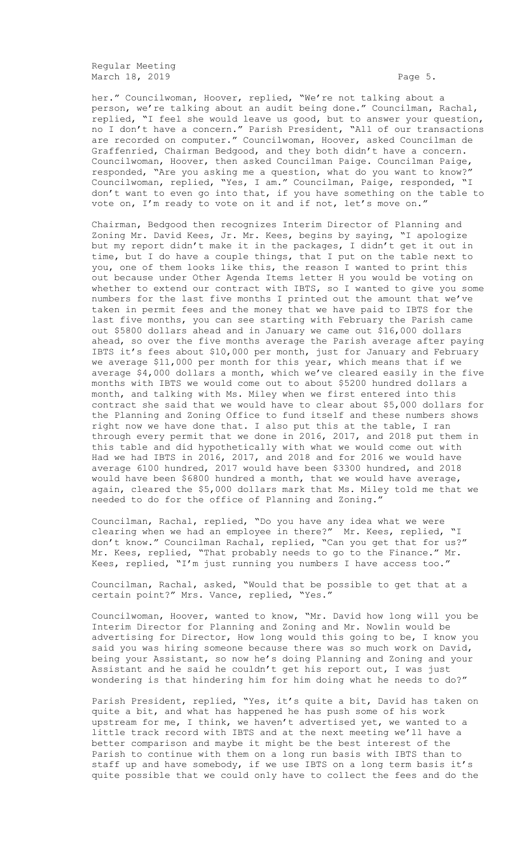Regular Meeting March 18, 2019 **Page 5.** Page 5.

her." Councilwoman, Hoover, replied, "We're not talking about a person, we're talking about an audit being done." Councilman, Rachal, replied, "I feel she would leave us good, but to answer your question, no I don't have a concern." Parish President, "All of our transactions are recorded on computer." Councilwoman, Hoover, asked Councilman de Graffenried, Chairman Bedgood, and they both didn't have a concern. Councilwoman, Hoover, then asked Councilman Paige. Councilman Paige, responded, "Are you asking me a question, what do you want to know?" Councilwoman, replied, "Yes, I am." Councilman, Paige, responded, "I don't want to even go into that, if you have something on the table to vote on, I'm ready to vote on it and if not, let's move on."

Chairman, Bedgood then recognizes Interim Director of Planning and Zoning Mr. David Kees, Jr. Mr. Kees, begins by saying, "I apologize but my report didn't make it in the packages, I didn't get it out in time, but I do have a couple things, that I put on the table next to you, one of them looks like this, the reason I wanted to print this out because under Other Agenda Items letter H you would be voting on whether to extend our contract with IBTS, so I wanted to give you some numbers for the last five months I printed out the amount that we've taken in permit fees and the money that we have paid to IBTS for the last five months, you can see starting with February the Parish came out \$5800 dollars ahead and in January we came out \$16,000 dollars ahead, so over the five months average the Parish average after paying IBTS it's fees about \$10,000 per month, just for January and February we average \$11,000 per month for this year, which means that if we average \$4,000 dollars a month, which we've cleared easily in the five months with IBTS we would come out to about \$5200 hundred dollars a month, and talking with Ms. Miley when we first entered into this contract she said that we would have to clear about \$5,000 dollars for the Planning and Zoning Office to fund itself and these numbers shows right now we have done that. I also put this at the table, I ran through every permit that we done in 2016, 2017, and 2018 put them in this table and did hypothetically with what we would come out with Had we had IBTS in 2016, 2017, and 2018 and for 2016 we would have average 6100 hundred, 2017 would have been \$3300 hundred, and 2018 would have been \$6800 hundred a month, that we would have average, again, cleared the \$5,000 dollars mark that Ms. Miley told me that we needed to do for the office of Planning and Zoning."

Councilman, Rachal, replied, "Do you have any idea what we were clearing when we had an employee in there?" Mr. Kees, replied, "I don't know." Councilman Rachal, replied, "Can you get that for us?" Mr. Kees, replied, "That probably needs to go to the Finance." Mr. Kees, replied, "I'm just running you numbers I have access too."

Councilman, Rachal, asked, "Would that be possible to get that at a certain point?" Mrs. Vance, replied, "Yes."

Councilwoman, Hoover, wanted to know, "Mr. David how long will you be Interim Director for Planning and Zoning and Mr. Nowlin would be advertising for Director, How long would this going to be, I know you said you was hiring someone because there was so much work on David, being your Assistant, so now he's doing Planning and Zoning and your Assistant and he said he couldn't get his report out, I was just wondering is that hindering him for him doing what he needs to do?"

Parish President, replied, "Yes, it's quite a bit, David has taken on quite a bit, and what has happened he has push some of his work upstream for me, I think, we haven't advertised yet, we wanted to a little track record with IBTS and at the next meeting we'll have a better comparison and maybe it might be the best interest of the Parish to continue with them on a long run basis with IBTS than to staff up and have somebody, if we use IBTS on a long term basis it's quite possible that we could only have to collect the fees and do the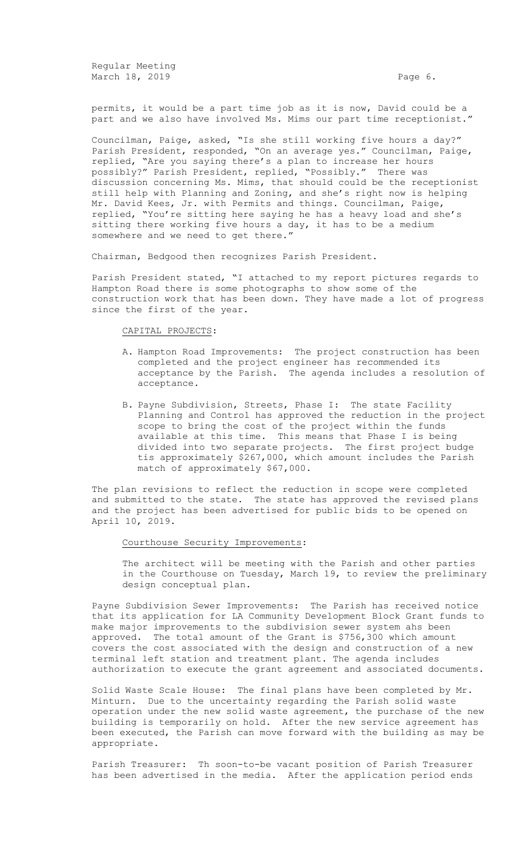Regular Meeting March 18, 2019 **Page 6. Page 6. Page 6. Page 6.** 

permits, it would be a part time job as it is now, David could be a part and we also have involved Ms. Mims our part time receptionist."

Councilman, Paige, asked, "Is she still working five hours a day?" Parish President, responded, "On an average yes." Councilman, Paige, replied, "Are you saying there's a plan to increase her hours possibly?" Parish President, replied, "Possibly." There was discussion concerning Ms. Mims, that should could be the receptionist still help with Planning and Zoning, and she's right now is helping Mr. David Kees, Jr. with Permits and things. Councilman, Paige, replied, "You're sitting here saying he has a heavy load and she's sitting there working five hours a day, it has to be a medium somewhere and we need to get there."

Chairman, Bedgood then recognizes Parish President.

Parish President stated, "I attached to my report pictures regards to Hampton Road there is some photographs to show some of the construction work that has been down. They have made a lot of progress since the first of the year.

## CAPITAL PROJECTS:

- A. Hampton Road Improvements: The project construction has been completed and the project engineer has recommended its acceptance by the Parish. The agenda includes a resolution of acceptance.
- B. Payne Subdivision, Streets, Phase I: The state Facility Planning and Control has approved the reduction in the project scope to bring the cost of the project within the funds available at this time. This means that Phase I is being divided into two separate projects. The first project budge tis approximately \$267,000, which amount includes the Parish match of approximately \$67,000.

The plan revisions to reflect the reduction in scope were completed and submitted to the state. The state has approved the revised plans and the project has been advertised for public bids to be opened on April 10, 2019.

## Courthouse Security Improvements:

The architect will be meeting with the Parish and other parties in the Courthouse on Tuesday, March 19, to review the preliminary design conceptual plan.

Payne Subdivision Sewer Improvements: The Parish has received notice that its application for LA Community Development Block Grant funds to make major improvements to the subdivision sewer system ahs been approved. The total amount of the Grant is \$756,300 which amount covers the cost associated with the design and construction of a new terminal left station and treatment plant. The agenda includes authorization to execute the grant agreement and associated documents.

Solid Waste Scale House: The final plans have been completed by Mr. Minturn. Due to the uncertainty regarding the Parish solid waste operation under the new solid waste agreement, the purchase of the new building is temporarily on hold. After the new service agreement has been executed, the Parish can move forward with the building as may be appropriate.

Parish Treasurer: Th soon-to-be vacant position of Parish Treasurer has been advertised in the media. After the application period ends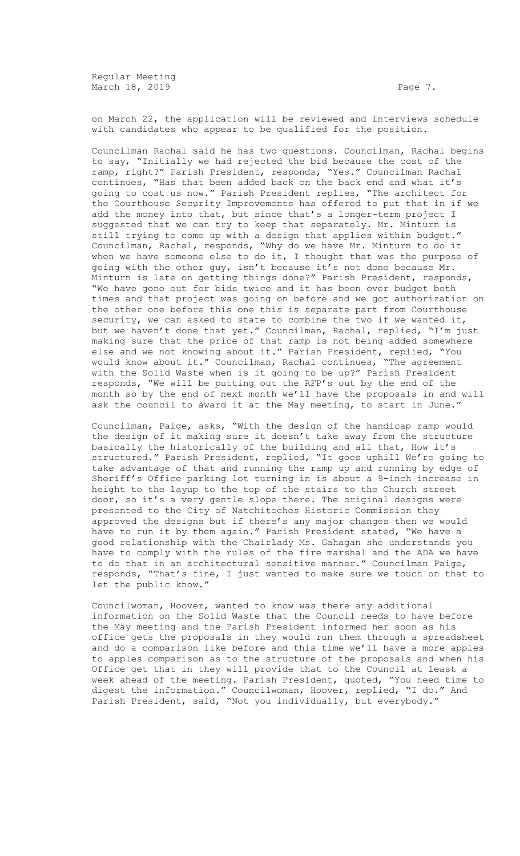Regular Meeting March 18, 2019 **Page 7.** 

on March 22, the application will be reviewed and interviews schedule with candidates who appear to be qualified for the position.

Councilman Rachal said he has two questions. Councilman, Rachal begins to say, "Initially we had rejected the bid because the cost of the ramp, right?" Parish President, responds, "Yes." Councilman Rachal continues, "Has that been added back on the back end and what it's going to cost us now." Parish President replies, "The architect for the Courthouse Security Improvements has offered to put that in if we add the money into that, but since that's a longer-term project I suggested that we can try to keep that separately. Mr. Minturn is still trying to come up with a design that applies within budget." Councilman, Rachal, responds, "Why do we have Mr. Minturn to do it when we have someone else to do it, I thought that was the purpose of going with the other guy, isn't because it's not done because Mr. Minturn is late on getting things done?" Parish President, responds, "We have gone out for bids twice and it has been over budget both times and that project was going on before and we got authorization on the other one before this one this is separate part from Courthouse security, we can asked to state to combine the two if we wanted it, but we haven't done that yet." Councilman, Rachal, replied, "I'm just making sure that the price of that ramp is not being added somewhere else and we not knowing about it." Parish President, replied, "You would know about it." Councilman, Rachal continues, "The agreement with the Solid Waste when is it going to be up?" Parish President responds, "We will be putting out the RFP's out by the end of the month so by the end of next month we'll have the proposals in and will ask the council to award it at the May meeting, to start in June."

Councilman, Paige, asks, "With the design of the handicap ramp would the design of it making sure it doesn't take away from the structure basically the historically of the building and all that, How it's structured." Parish President, replied, "It goes uphill We're going to take advantage of that and running the ramp up and running by edge of Sheriff's Office parking lot turning in is about a 9-inch increase in height to the layup to the top of the stairs to the Church street door, so it's a very gentle slope there. The original designs were presented to the City of Natchitoches Historic Commission they approved the designs but if there's any major changes then we would have to run it by them again." Parish President stated, "We have a good relationship with the Chairlady Ms. Gahagan she understands you have to comply with the rules of the fire marshal and the ADA we have to do that in an architectural sensitive manner." Councilman Paige, responds, "That's fine, I just wanted to make sure we touch on that to let the public know."

Councilwoman, Hoover, wanted to know was there any additional information on the Solid Waste that the Council needs to have before the May meeting and the Parish President informed her soon as his office gets the proposals in they would run them through a spreadsheet and do a comparison like before and this time we'll have a more apples to apples comparison as to the structure of the proposals and when his Office get that in they will provide that to the Council at least a week ahead of the meeting. Parish President, quoted, "You need time to digest the information." Councilwoman, Hoover, replied, "I do." And Parish President, said, "Not you individually, but everybody."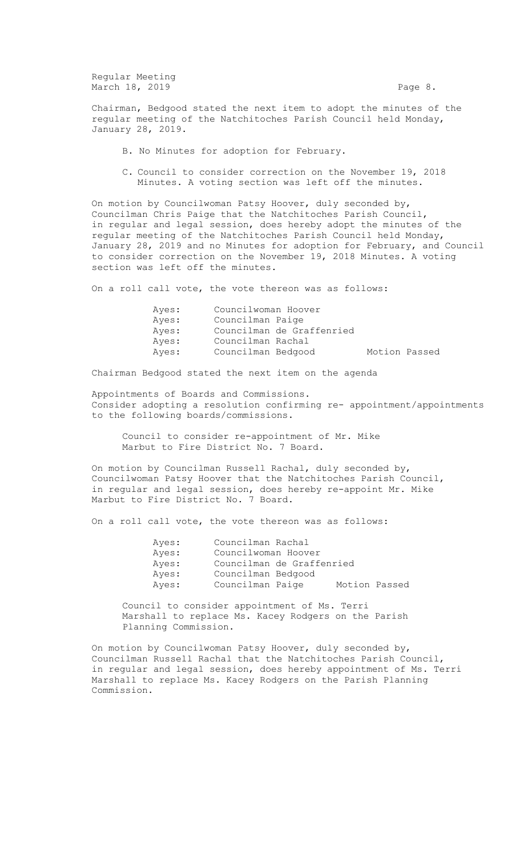Regular Meeting March 18, 2019 **Page 8.** 

Chairman, Bedgood stated the next item to adopt the minutes of the regular meeting of the Natchitoches Parish Council held Monday, January 28, 2019.

- B. No Minutes for adoption for February.
- C. Council to consider correction on the November 19, 2018 Minutes. A voting section was left off the minutes.

On motion by Councilwoman Patsy Hoover, duly seconded by, Councilman Chris Paige that the Natchitoches Parish Council, in regular and legal session, does hereby adopt the minutes of the regular meeting of the Natchitoches Parish Council held Monday, January 28, 2019 and no Minutes for adoption for February, and Council to consider correction on the November 19, 2018 Minutes. A voting section was left off the minutes.

On a roll call vote, the vote thereon was as follows:

| Aves: | Councilwoman Hoover                 |  |
|-------|-------------------------------------|--|
| Aves: | Councilman Paige                    |  |
| Aves: | Councilman de Graffenried           |  |
| Aves: | Councilman Rachal                   |  |
| Ayes: | Motion Passed<br>Councilman Bedgood |  |

Chairman Bedgood stated the next item on the agenda

Appointments of Boards and Commissions. Consider adopting a resolution confirming re- appointment/appointments to the following boards/commissions.

Council to consider re-appointment of Mr. Mike Marbut to Fire District No. 7 Board.

On motion by Councilman Russell Rachal, duly seconded by, Councilwoman Patsy Hoover that the Natchitoches Parish Council, in regular and legal session, does hereby re-appoint Mr. Mike Marbut to Fire District No. 7 Board.

On a roll call vote, the vote thereon was as follows:

| Ayes: | Councilman Rachal         |               |  |
|-------|---------------------------|---------------|--|
| Ayes: | Councilwoman Hoover       |               |  |
| Ayes: | Councilman de Graffenried |               |  |
| Ayes: | Councilman Bedgood        |               |  |
| Ayes: | Councilman Paige          | Motion Passed |  |

Council to consider appointment of Ms. Terri Marshall to replace Ms. Kacey Rodgers on the Parish Planning Commission.

On motion by Councilwoman Patsy Hoover, duly seconded by, Councilman Russell Rachal that the Natchitoches Parish Council, in regular and legal session, does hereby appointment of Ms. Terri Marshall to replace Ms. Kacey Rodgers on the Parish Planning Commission.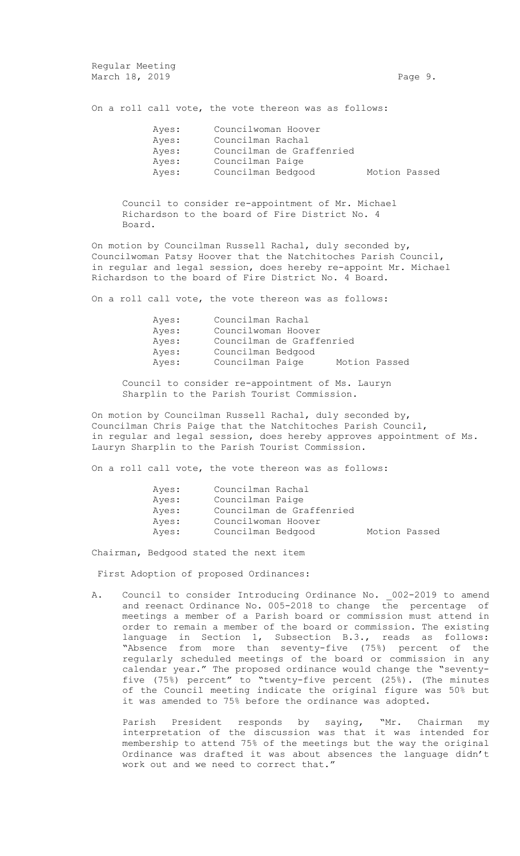Regular Meeting March 18, 2019 **Page 9.** Page 9.

On a roll call vote, the vote thereon was as follows:

| Ayes: | Councilwoman Hoover |                           |               |  |
|-------|---------------------|---------------------------|---------------|--|
| Ayes: | Councilman Rachal   |                           |               |  |
| Ayes: |                     | Councilman de Graffenried |               |  |
| Ayes: | Councilman Paige    |                           |               |  |
| Ayes: | Councilman Bedgood  |                           | Motion Passed |  |

Council to consider re-appointment of Mr. Michael Richardson to the board of Fire District No. 4 Board.

On motion by Councilman Russell Rachal, duly seconded by, Councilwoman Patsy Hoover that the Natchitoches Parish Council, in regular and legal session, does hereby re-appoint Mr. Michael Richardson to the board of Fire District No. 4 Board.

On a roll call vote, the vote thereon was as follows:

| Ayes: | Councilman Rachal         |  |               |
|-------|---------------------------|--|---------------|
| Ayes: | Councilwoman Hoover       |  |               |
| Ayes: | Councilman de Graffenried |  |               |
| Ayes: | Councilman Bedgood        |  |               |
| Ayes: | Councilman Paige          |  | Motion Passed |

Council to consider re-appointment of Ms. Lauryn Sharplin to the Parish Tourist Commission.

On motion by Councilman Russell Rachal, duly seconded by, Councilman Chris Paige that the Natchitoches Parish Council, in regular and legal session, does hereby approves appointment of Ms. Lauryn Sharplin to the Parish Tourist Commission.

On a roll call vote, the vote thereon was as follows:

| Ayes: | Councilman Rachal         |               |  |
|-------|---------------------------|---------------|--|
| Ayes: | Councilman Paige          |               |  |
| Ayes: | Councilman de Graffenried |               |  |
| Ayes: | Councilwoman Hoover       |               |  |
| Aves: | Councilman Bedgood        | Motion Passed |  |

Chairman, Bedgood stated the next item

First Adoption of proposed Ordinances:

A. Council to consider Introducing Ordinance No. 002-2019 to amend and reenact Ordinance No. 005-2018 to change the percentage of meetings a member of a Parish board or commission must attend in order to remain a member of the board or commission. The existing language in Section 1, Subsection B.3., reads as follows: "Absence from more than seventy-five (75%) percent of the regularly scheduled meetings of the board or commission in any calendar year." The proposed ordinance would change the "seventyfive (75%) percent" to "twenty-five percent (25%). (The minutes of the Council meeting indicate the original figure was 50% but it was amended to 75% before the ordinance was adopted.

Parish President responds by saying, "Mr. Chairman my interpretation of the discussion was that it was intended for membership to attend 75% of the meetings but the way the original Ordinance was drafted it was about absences the language didn't work out and we need to correct that."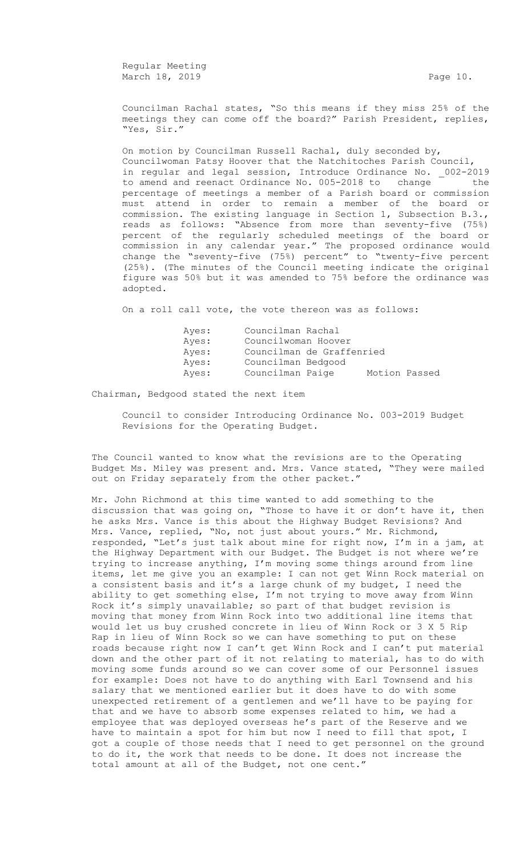Regular Meeting March 18, 2019 **Page 10.** Page 10.

Councilman Rachal states, "So this means if they miss 25% of the meetings they can come off the board?" Parish President, replies, "Yes, Sir."

On motion by Councilman Russell Rachal, duly seconded by, Councilwoman Patsy Hoover that the Natchitoches Parish Council, in regular and legal session, Introduce Ordinance No. \_002-2019 to amend and reenact Ordinance No. 005-2018 to change the percentage of meetings a member of a Parish board or commission must attend in order to remain a member of the board or commission. The existing language in Section 1, Subsection B.3., reads as follows: "Absence from more than seventy-five (75%) percent of the regularly scheduled meetings of the board or commission in any calendar year." The proposed ordinance would change the "seventy-five (75%) percent" to "twenty-five percent (25%). (The minutes of the Council meeting indicate the original figure was 50% but it was amended to 75% before the ordinance was adopted.

On a roll call vote, the vote thereon was as follows:

| Ayes: | Councilman Rachal         |               |  |
|-------|---------------------------|---------------|--|
| Ayes: | Councilwoman Hoover       |               |  |
| Ayes: | Councilman de Graffenried |               |  |
| Ayes: | Councilman Bedgood        |               |  |
| Ayes: | Councilman Paige          | Motion Passed |  |

Chairman, Bedgood stated the next item

Council to consider Introducing Ordinance No. 003-2019 Budget Revisions for the Operating Budget.

The Council wanted to know what the revisions are to the Operating Budget Ms. Miley was present and. Mrs. Vance stated, "They were mailed out on Friday separately from the other packet."

Mr. John Richmond at this time wanted to add something to the discussion that was going on, "Those to have it or don't have it, then he asks Mrs. Vance is this about the Highway Budget Revisions? And Mrs. Vance, replied, "No, not just about yours." Mr. Richmond, responded, "Let's just talk about mine for right now, I'm in a jam, at the Highway Department with our Budget. The Budget is not where we're trying to increase anything, I'm moving some things around from line items, let me give you an example: I can not get Winn Rock material on a consistent basis and it's a large chunk of my budget, I need the ability to get something else, I'm not trying to move away from Winn Rock it's simply unavailable; so part of that budget revision is moving that money from Winn Rock into two additional line items that would let us buy crushed concrete in lieu of Winn Rock or 3 X 5 Rip Rap in lieu of Winn Rock so we can have something to put on these roads because right now I can't get Winn Rock and I can't put material down and the other part of it not relating to material, has to do with moving some funds around so we can cover some of our Personnel issues for example: Does not have to do anything with Earl Townsend and his salary that we mentioned earlier but it does have to do with some unexpected retirement of a gentlemen and we'll have to be paying for that and we have to absorb some expenses related to him, we had a employee that was deployed overseas he's part of the Reserve and we have to maintain a spot for him but now I need to fill that spot, I got a couple of those needs that I need to get personnel on the ground to do it, the work that needs to be done. It does not increase the total amount at all of the Budget, not one cent."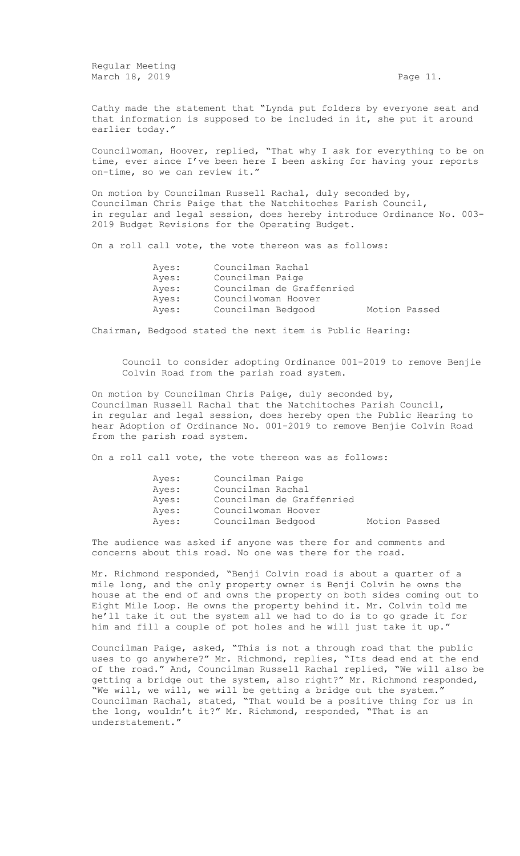Regular Meeting March 18, 2019 **Page 11.** 

Cathy made the statement that "Lynda put folders by everyone seat and that information is supposed to be included in it, she put it around earlier today."

Councilwoman, Hoover, replied, "That why I ask for everything to be on time, ever since I've been here I been asking for having your reports on-time, so we can review it."

On motion by Councilman Russell Rachal, duly seconded by, Councilman Chris Paige that the Natchitoches Parish Council, in regular and legal session, does hereby introduce Ordinance No. 003- 2019 Budget Revisions for the Operating Budget.

On a roll call vote, the vote thereon was as follows:

| Ayes: | Councilman Rachal   |                           |               |
|-------|---------------------|---------------------------|---------------|
| Ayes: | Councilman Paige    |                           |               |
| Ayes: |                     | Councilman de Graffenried |               |
| Ayes: | Councilwoman Hoover |                           |               |
| Ayes: | Councilman Bedgood  |                           | Motion Passed |

Chairman, Bedgood stated the next item is Public Hearing:

Council to consider adopting Ordinance 001-2019 to remove Benjie Colvin Road from the parish road system.

On motion by Councilman Chris Paige, duly seconded by, Councilman Russell Rachal that the Natchitoches Parish Council, in regular and legal session, does hereby open the Public Hearing to hear Adoption of Ordinance No. 001-2019 to remove Benjie Colvin Road from the parish road system.

On a roll call vote, the vote thereon was as follows:

|  |                                                                                                                 | Motion Passed |
|--|-----------------------------------------------------------------------------------------------------------------|---------------|
|  | Councilman Paige<br>Councilman Rachal<br>Councilman de Graffenried<br>Councilwoman Hoover<br>Councilman Bedgood |               |

The audience was asked if anyone was there for and comments and concerns about this road. No one was there for the road.

Mr. Richmond responded, "Benji Colvin road is about a quarter of a mile long, and the only property owner is Benji Colvin he owns the house at the end of and owns the property on both sides coming out to Eight Mile Loop. He owns the property behind it. Mr. Colvin told me he'll take it out the system all we had to do is to go grade it for him and fill a couple of pot holes and he will just take it up."

Councilman Paige, asked, "This is not a through road that the public uses to go anywhere?" Mr. Richmond, replies, "Its dead end at the end of the road." And, Councilman Russell Rachal replied, "We will also be getting a bridge out the system, also right?" Mr. Richmond responded, "We will, we will, we will be getting a bridge out the system." Councilman Rachal, stated, "That would be a positive thing for us in the long, wouldn't it?" Mr. Richmond, responded, "That is an understatement."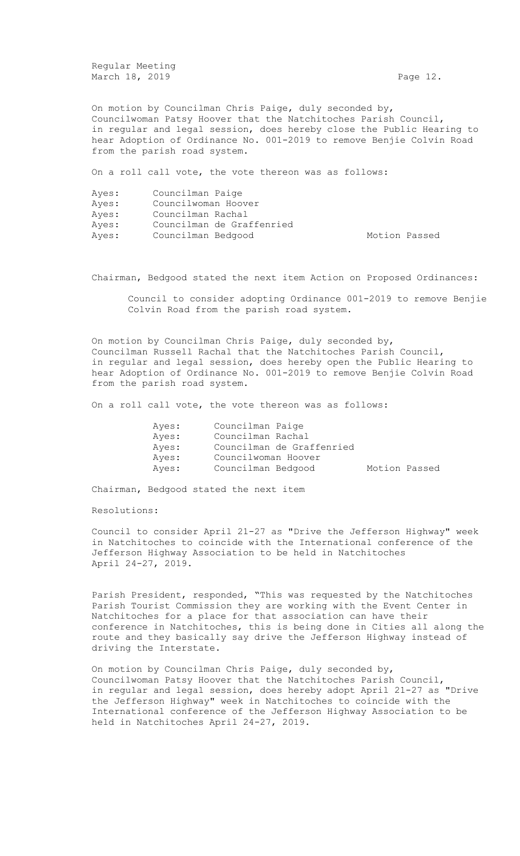Regular Meeting March 18, 2019 **Page 12.** Page 12.

On motion by Councilman Chris Paige, duly seconded by, Councilwoman Patsy Hoover that the Natchitoches Parish Council, in regular and legal session, does hereby close the Public Hearing to hear Adoption of Ordinance No. 001-2019 to remove Benjie Colvin Road from the parish road system.

On a roll call vote, the vote thereon was as follows:

| Ayes: | Councilman Paige          |               |  |
|-------|---------------------------|---------------|--|
| Ayes: | Councilwoman Hoover       |               |  |
| Ayes: | Councilman Rachal         |               |  |
| Ayes: | Councilman de Graffenried |               |  |
| Ayes: | Councilman Bedgood        | Motion Passed |  |

Chairman, Bedgood stated the next item Action on Proposed Ordinances:

Council to consider adopting Ordinance 001-2019 to remove Benjie Colvin Road from the parish road system.

On motion by Councilman Chris Paige, duly seconded by, Councilman Russell Rachal that the Natchitoches Parish Council, in regular and legal session, does hereby open the Public Hearing to hear Adoption of Ordinance No. 001-2019 to remove Benjie Colvin Road from the parish road system.

On a roll call vote, the vote thereon was as follows:

| Ayes: | Councilman Paige    |                           |               |  |
|-------|---------------------|---------------------------|---------------|--|
| Ayes: | Councilman Rachal   |                           |               |  |
| Ayes: |                     | Councilman de Graffenried |               |  |
| Ayes: | Councilwoman Hoover |                           |               |  |
| Ayes: | Councilman Bedgood  |                           | Motion Passed |  |
|       |                     |                           |               |  |

Chairman, Bedgood stated the next item

Resolutions:

Council to consider April 21-27 as "Drive the Jefferson Highway" week in Natchitoches to coincide with the International conference of the Jefferson Highway Association to be held in Natchitoches April 24-27, 2019.

Parish President, responded, "This was requested by the Natchitoches Parish Tourist Commission they are working with the Event Center in Natchitoches for a place for that association can have their conference in Natchitoches, this is being done in Cities all along the route and they basically say drive the Jefferson Highway instead of driving the Interstate.

On motion by Councilman Chris Paige, duly seconded by, Councilwoman Patsy Hoover that the Natchitoches Parish Council, in regular and legal session, does hereby adopt April 21-27 as "Drive the Jefferson Highway" week in Natchitoches to coincide with the International conference of the Jefferson Highway Association to be held in Natchitoches April 24-27, 2019.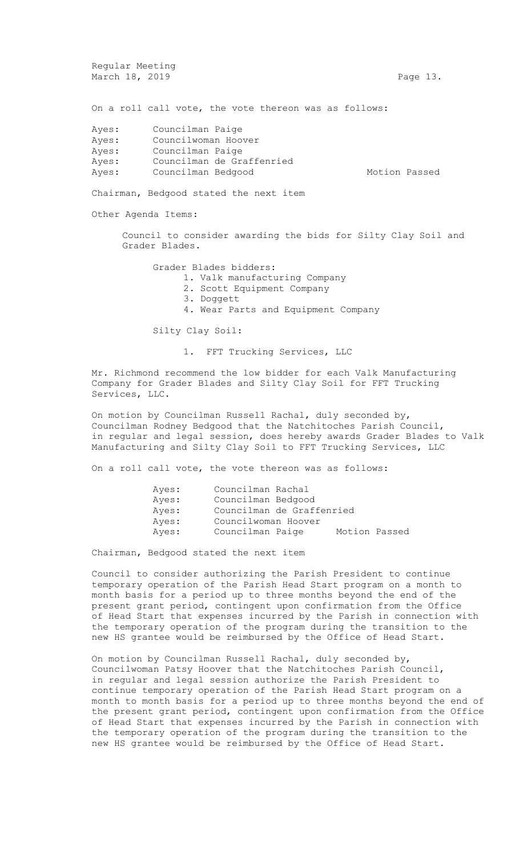Regular Meeting March 18, 2019 **Page 13.** Page 13.

Motion Passed

On a roll call vote, the vote thereon was as follows:

| Ayes: | Councilman Paige          |
|-------|---------------------------|
| Ayes: | Councilwoman Hoover       |
| Ayes: | Councilman Paige          |
| Ayes: | Councilman de Graffenried |
| Ayes: | Councilman Bedgood        |

Chairman, Bedgood stated the next item

Other Agenda Items:

Council to consider awarding the bids for Silty Clay Soil and Grader Blades.

Grader Blades bidders:

1. Valk manufacturing Company

- 2. Scott Equipment Company
- 3. Doggett
- 4. Wear Parts and Equipment Company

Silty Clay Soil:

1. FFT Trucking Services, LLC

Mr. Richmond recommend the low bidder for each Valk Manufacturing Company for Grader Blades and Silty Clay Soil for FFT Trucking Services, LLC.

On motion by Councilman Russell Rachal, duly seconded by, Councilman Rodney Bedgood that the Natchitoches Parish Council, in regular and legal session, does hereby awards Grader Blades to Valk Manufacturing and Silty Clay Soil to FFT Trucking Services, LLC

On a roll call vote, the vote thereon was as follows:

| Ayes: | Councilman Rachal         |               |  |
|-------|---------------------------|---------------|--|
| Ayes: | Councilman Bedgood        |               |  |
| Ayes: | Councilman de Graffenried |               |  |
| Ayes: | Councilwoman Hoover       |               |  |
| Ayes: | Councilman Paige          | Motion Passed |  |

Chairman, Bedgood stated the next item

Council to consider authorizing the Parish President to continue temporary operation of the Parish Head Start program on a month to month basis for a period up to three months beyond the end of the present grant period, contingent upon confirmation from the Office of Head Start that expenses incurred by the Parish in connection with the temporary operation of the program during the transition to the new HS grantee would be reimbursed by the Office of Head Start.

On motion by Councilman Russell Rachal, duly seconded by, Councilwoman Patsy Hoover that the Natchitoches Parish Council, in regular and legal session authorize the Parish President to continue temporary operation of the Parish Head Start program on a month to month basis for a period up to three months beyond the end of the present grant period, contingent upon confirmation from the Office of Head Start that expenses incurred by the Parish in connection with the temporary operation of the program during the transition to the new HS grantee would be reimbursed by the Office of Head Start.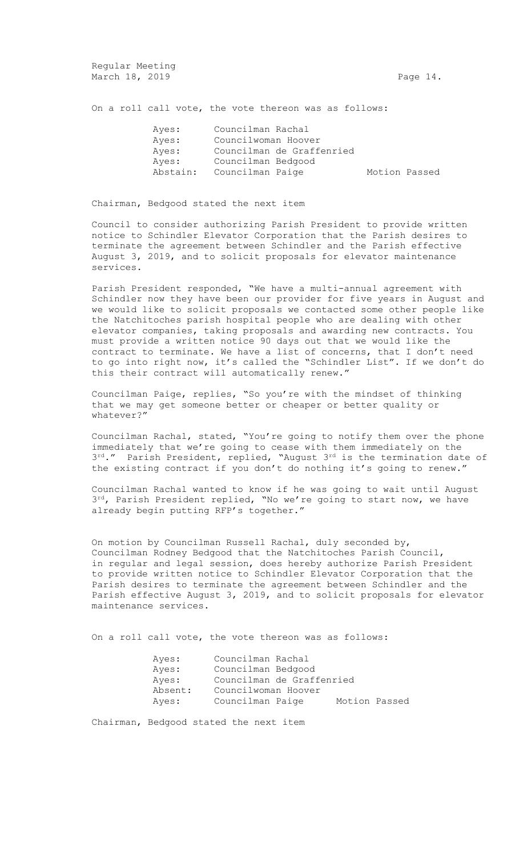Regular Meeting March 18, 2019 **Page 14.** 

On a roll call vote, the vote thereon was as follows:

| Ayes:    | Councilman Rachal         |               |  |
|----------|---------------------------|---------------|--|
| Ayes:    | Councilwoman Hoover       |               |  |
| Ayes:    | Councilman de Graffenried |               |  |
| Ayes:    | Councilman Bedgood        |               |  |
| Abstain: | Councilman Paige          | Motion Passed |  |

Chairman, Bedgood stated the next item

Council to consider authorizing Parish President to provide written notice to Schindler Elevator Corporation that the Parish desires to terminate the agreement between Schindler and the Parish effective August 3, 2019, and to solicit proposals for elevator maintenance services.

Parish President responded, "We have a multi-annual agreement with Schindler now they have been our provider for five years in August and we would like to solicit proposals we contacted some other people like the Natchitoches parish hospital people who are dealing with other elevator companies, taking proposals and awarding new contracts. You must provide a written notice 90 days out that we would like the contract to terminate. We have a list of concerns, that I don't need to go into right now, it's called the "Schindler List". If we don't do this their contract will automatically renew."

Councilman Paige, replies, "So you're with the mindset of thinking that we may get someone better or cheaper or better quality or whatever?"

Councilman Rachal, stated, "You're going to notify them over the phone immediately that we're going to cease with them immediately on the 3<sup>rd</sup>." Parish President, replied, "August 3<sup>rd</sup> is the termination date of the existing contract if you don't do nothing it's going to renew."

Councilman Rachal wanted to know if he was going to wait until August 3<sup>rd</sup>, Parish President replied, "No we're going to start now, we have already begin putting RFP's together."

On motion by Councilman Russell Rachal, duly seconded by, Councilman Rodney Bedgood that the Natchitoches Parish Council, in regular and legal session, does hereby authorize Parish President to provide written notice to Schindler Elevator Corporation that the Parish desires to terminate the agreement between Schindler and the Parish effective August 3, 2019, and to solicit proposals for elevator maintenance services.

On a roll call vote, the vote thereon was as follows:

| Ayes:   | Councilman Rachal         |               |  |
|---------|---------------------------|---------------|--|
| Ayes:   | Councilman Bedgood        |               |  |
| Ayes:   | Councilman de Graffenried |               |  |
| Absent: | Councilwoman Hoover       |               |  |
| Ayes:   | Councilman Paige          | Motion Passed |  |

Chairman, Bedgood stated the next item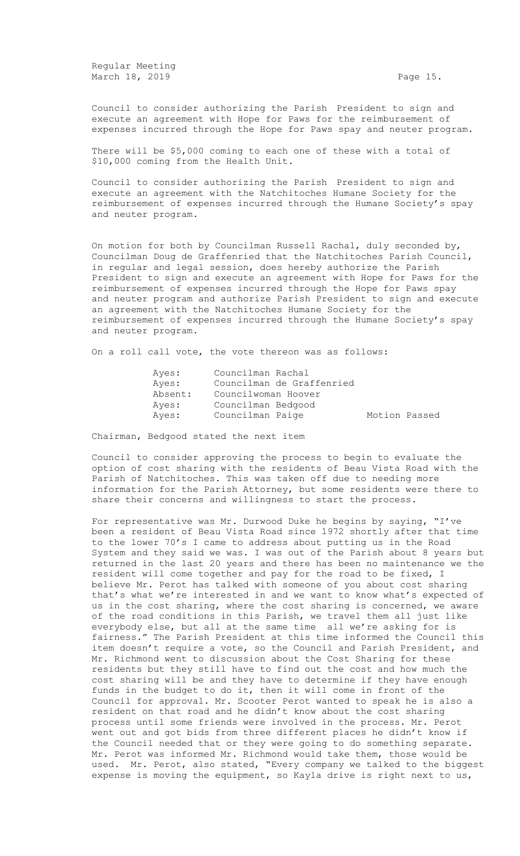Regular Meeting March 18, 2019 **Page 15.** Page 15.

Council to consider authorizing the Parish President to sign and execute an agreement with Hope for Paws for the reimbursement of expenses incurred through the Hope for Paws spay and neuter program.

There will be \$5,000 coming to each one of these with a total of \$10,000 coming from the Health Unit.

Council to consider authorizing the Parish President to sign and execute an agreement with the Natchitoches Humane Society for the reimbursement of expenses incurred through the Humane Society's spay and neuter program.

On motion for both by Councilman Russell Rachal, duly seconded by, Councilman Doug de Graffenried that the Natchitoches Parish Council, in regular and legal session, does hereby authorize the Parish President to sign and execute an agreement with Hope for Paws for the reimbursement of expenses incurred through the Hope for Paws spay and neuter program and authorize Parish President to sign and execute an agreement with the Natchitoches Humane Society for the reimbursement of expenses incurred through the Humane Society's spay and neuter program.

On a roll call vote, the vote thereon was as follows:

| Ayes:   | Councilman Rachal         |               |  |
|---------|---------------------------|---------------|--|
| Ayes:   | Councilman de Graffenried |               |  |
| Absent: | Councilwoman Hoover       |               |  |
| Ayes:   | Councilman Bedgood        |               |  |
| Ayes:   | Councilman Paige          | Motion Passed |  |

Chairman, Bedgood stated the next item

Council to consider approving the process to begin to evaluate the option of cost sharing with the residents of Beau Vista Road with the Parish of Natchitoches. This was taken off due to needing more information for the Parish Attorney, but some residents were there to share their concerns and willingness to start the process.

For representative was Mr. Durwood Duke he begins by saying, "I've been a resident of Beau Vista Road since 1972 shortly after that time to the lower 70's I came to address about putting us in the Road System and they said we was. I was out of the Parish about 8 years but returned in the last 20 years and there has been no maintenance we the resident will come together and pay for the road to be fixed, I believe Mr. Perot has talked with someone of you about cost sharing that's what we're interested in and we want to know what's expected of us in the cost sharing, where the cost sharing is concerned, we aware of the road conditions in this Parish, we travel them all just like everybody else, but all at the same time all we're asking for is fairness." The Parish President at this time informed the Council this item doesn't require a vote, so the Council and Parish President, and Mr. Richmond went to discussion about the Cost Sharing for these residents but they still have to find out the cost and how much the cost sharing will be and they have to determine if they have enough funds in the budget to do it, then it will come in front of the Council for approval. Mr. Scooter Perot wanted to speak he is also a resident on that road and he didn't know about the cost sharing process until some friends were involved in the process. Mr. Perot went out and got bids from three different places he didn't know if the Council needed that or they were going to do something separate. Mr. Perot was informed Mr. Richmond would take them, those would be used. Mr. Perot, also stated, "Every company we talked to the biggest expense is moving the equipment, so Kayla drive is right next to us,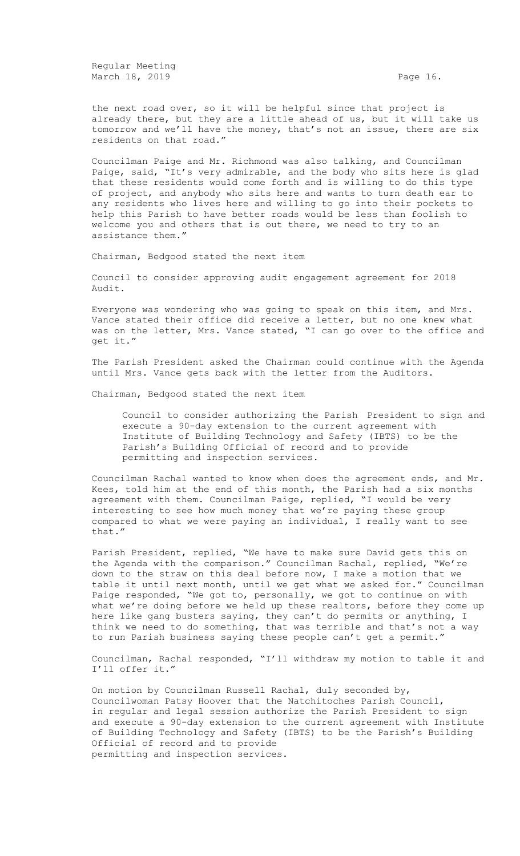Regular Meeting March 18, 2019 **Page 16.** Page 16.

the next road over, so it will be helpful since that project is already there, but they are a little ahead of us, but it will take us tomorrow and we'll have the money, that's not an issue, there are six residents on that road."

Councilman Paige and Mr. Richmond was also talking, and Councilman Paige, said, "It's very admirable, and the body who sits here is glad that these residents would come forth and is willing to do this type of project, and anybody who sits here and wants to turn death ear to any residents who lives here and willing to go into their pockets to help this Parish to have better roads would be less than foolish to welcome you and others that is out there, we need to try to an assistance them."

Chairman, Bedgood stated the next item

Council to consider approving audit engagement agreement for 2018 Audit.

Everyone was wondering who was going to speak on this item, and Mrs. Vance stated their office did receive a letter, but no one knew what was on the letter, Mrs. Vance stated, "I can go over to the office and get it."

The Parish President asked the Chairman could continue with the Agenda until Mrs. Vance gets back with the letter from the Auditors.

Chairman, Bedgood stated the next item

Council to consider authorizing the Parish President to sign and execute a 90-day extension to the current agreement with Institute of Building Technology and Safety (IBTS) to be the Parish's Building Official of record and to provide permitting and inspection services.

Councilman Rachal wanted to know when does the agreement ends, and Mr. Kees, told him at the end of this month, the Parish had a six months agreement with them. Councilman Paige, replied, "I would be very interesting to see how much money that we're paying these group compared to what we were paying an individual, I really want to see that."

Parish President, replied, "We have to make sure David gets this on the Agenda with the comparison." Councilman Rachal, replied, "We're down to the straw on this deal before now, I make a motion that we table it until next month, until we get what we asked for." Councilman Paige responded, "We got to, personally, we got to continue on with what we're doing before we held up these realtors, before they come up here like gang busters saying, they can't do permits or anything, I think we need to do something, that was terrible and that's not a way to run Parish business saying these people can't get a permit."

Councilman, Rachal responded, "I'll withdraw my motion to table it and I'll offer it."

On motion by Councilman Russell Rachal, duly seconded by, Councilwoman Patsy Hoover that the Natchitoches Parish Council, in regular and legal session authorize the Parish President to sign and execute a 90-day extension to the current agreement with Institute of Building Technology and Safety (IBTS) to be the Parish's Building Official of record and to provide permitting and inspection services.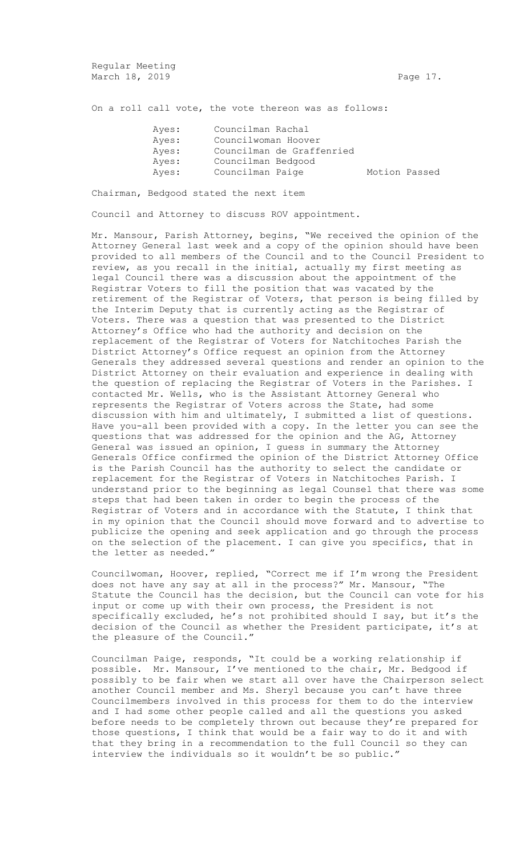Regular Meeting March 18, 2019 **Page 17.** Page 17.

On a roll call vote, the vote thereon was as follows:

| Ayes: | Councilman Rachal   |                           |               |
|-------|---------------------|---------------------------|---------------|
| Ayes: | Councilwoman Hoover |                           |               |
| Aves: |                     | Councilman de Graffenried |               |
| Ayes: | Councilman Bedgood  |                           |               |
| Ayes: | Councilman Paige    |                           | Motion Passed |

Chairman, Bedgood stated the next item

Council and Attorney to discuss ROV appointment.

Mr. Mansour, Parish Attorney, begins, "We received the opinion of the Attorney General last week and a copy of the opinion should have been provided to all members of the Council and to the Council President to review, as you recall in the initial, actually my first meeting as legal Council there was a discussion about the appointment of the Registrar Voters to fill the position that was vacated by the retirement of the Registrar of Voters, that person is being filled by the Interim Deputy that is currently acting as the Registrar of Voters. There was a question that was presented to the District Attorney's Office who had the authority and decision on the replacement of the Registrar of Voters for Natchitoches Parish the District Attorney's Office request an opinion from the Attorney Generals they addressed several questions and render an opinion to the District Attorney on their evaluation and experience in dealing with the question of replacing the Registrar of Voters in the Parishes. I contacted Mr. Wells, who is the Assistant Attorney General who represents the Registrar of Voters across the State, had some discussion with him and ultimately, I submitted a list of questions. Have you-all been provided with a copy. In the letter you can see the questions that was addressed for the opinion and the AG, Attorney General was issued an opinion, I guess in summary the Attorney Generals Office confirmed the opinion of the District Attorney Office is the Parish Council has the authority to select the candidate or replacement for the Registrar of Voters in Natchitoches Parish. I understand prior to the beginning as legal Counsel that there was some steps that had been taken in order to begin the process of the Registrar of Voters and in accordance with the Statute, I think that in my opinion that the Council should move forward and to advertise to publicize the opening and seek application and go through the process on the selection of the placement. I can give you specifics, that in the letter as needed."

Councilwoman, Hoover, replied, "Correct me if I'm wrong the President does not have any say at all in the process?" Mr. Mansour, "The Statute the Council has the decision, but the Council can vote for his input or come up with their own process, the President is not specifically excluded, he's not prohibited should I say, but it's the decision of the Council as whether the President participate, it's at the pleasure of the Council."

Councilman Paige, responds, "It could be a working relationship if possible. Mr. Mansour, I've mentioned to the chair, Mr. Bedgood if possibly to be fair when we start all over have the Chairperson select another Council member and Ms. Sheryl because you can't have three Councilmembers involved in this process for them to do the interview and I had some other people called and all the questions you asked before needs to be completely thrown out because they're prepared for those questions, I think that would be a fair way to do it and with that they bring in a recommendation to the full Council so they can interview the individuals so it wouldn't be so public."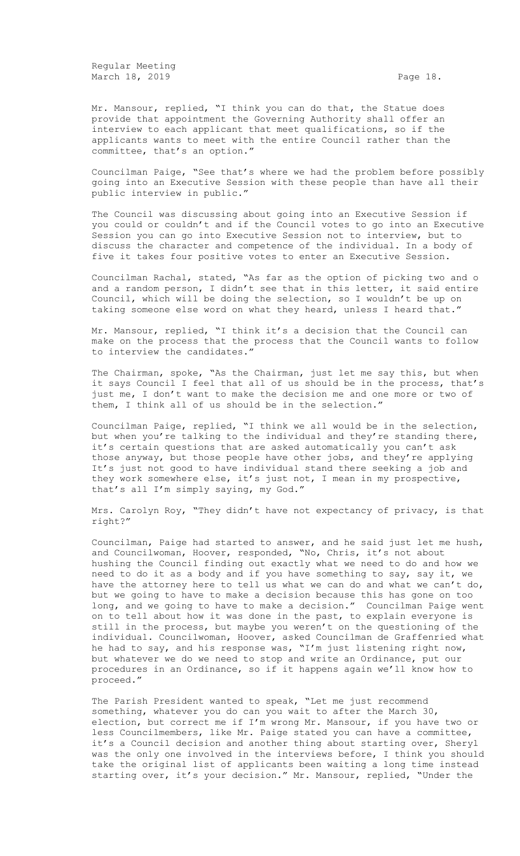Regular Meeting March 18, 2019 **Page 18.** 

Mr. Mansour, replied, "I think you can do that, the Statue does provide that appointment the Governing Authority shall offer an interview to each applicant that meet qualifications, so if the applicants wants to meet with the entire Council rather than the committee, that's an option."

Councilman Paige, "See that's where we had the problem before possibly going into an Executive Session with these people than have all their public interview in public."

The Council was discussing about going into an Executive Session if you could or couldn't and if the Council votes to go into an Executive Session you can go into Executive Session not to interview, but to discuss the character and competence of the individual. In a body of five it takes four positive votes to enter an Executive Session.

Councilman Rachal, stated, "As far as the option of picking two and o and a random person, I didn't see that in this letter, it said entire Council, which will be doing the selection, so I wouldn't be up on taking someone else word on what they heard, unless I heard that."

Mr. Mansour, replied, "I think it's a decision that the Council can make on the process that the process that the Council wants to follow to interview the candidates."

The Chairman, spoke, "As the Chairman, just let me say this, but when it says Council I feel that all of us should be in the process, that's just me, I don't want to make the decision me and one more or two of them, I think all of us should be in the selection."

Councilman Paige, replied, "I think we all would be in the selection, but when you're talking to the individual and they're standing there, it's certain questions that are asked automatically you can't ask those anyway, but those people have other jobs, and they're applying It's just not good to have individual stand there seeking a job and they work somewhere else, it's just not, I mean in my prospective, that's all I'm simply saying, my God."

Mrs. Carolyn Roy, "They didn't have not expectancy of privacy, is that right?"

Councilman, Paige had started to answer, and he said just let me hush, and Councilwoman, Hoover, responded, "No, Chris, it's not about hushing the Council finding out exactly what we need to do and how we need to do it as a body and if you have something to say, say it, we have the attorney here to tell us what we can do and what we can't do, but we going to have to make a decision because this has gone on too long, and we going to have to make a decision." Councilman Paige went on to tell about how it was done in the past, to explain everyone is still in the process, but maybe you weren't on the questioning of the individual. Councilwoman, Hoover, asked Councilman de Graffenried what he had to say, and his response was, "I'm just listening right now, but whatever we do we need to stop and write an Ordinance, put our procedures in an Ordinance, so if it happens again we'll know how to proceed."

The Parish President wanted to speak, "Let me just recommend something, whatever you do can you wait to after the March 30, election, but correct me if I'm wrong Mr. Mansour, if you have two or less Councilmembers, like Mr. Paige stated you can have a committee, it's a Council decision and another thing about starting over, Sheryl was the only one involved in the interviews before, I think you should take the original list of applicants been waiting a long time instead starting over, it's your decision." Mr. Mansour, replied, "Under the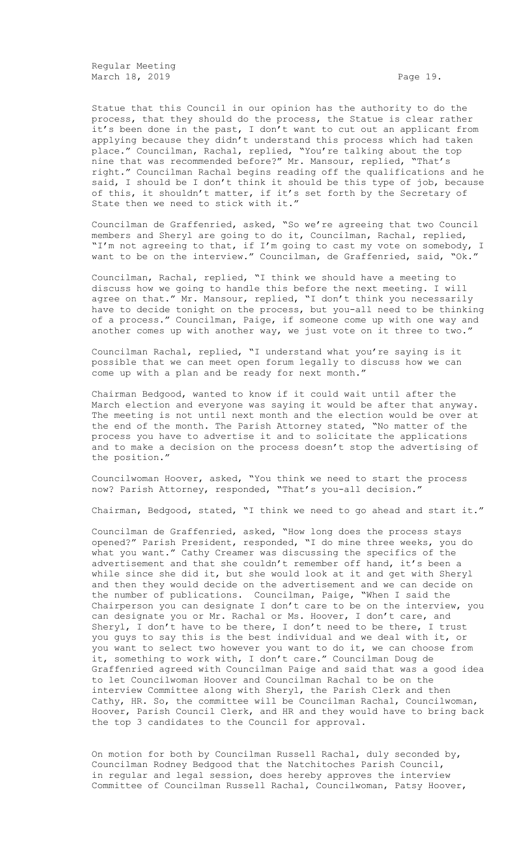Regular Meeting March 18, 2019 **Page 19.** Page 19.

Statue that this Council in our opinion has the authority to do the process, that they should do the process, the Statue is clear rather it's been done in the past, I don't want to cut out an applicant from applying because they didn't understand this process which had taken place." Councilman, Rachal, replied, "You're talking about the top nine that was recommended before?" Mr. Mansour, replied, "That's right." Councilman Rachal begins reading off the qualifications and he said, I should be I don't think it should be this type of job, because of this, it shouldn't matter, if it's set forth by the Secretary of State then we need to stick with it."

Councilman de Graffenried, asked, "So we're agreeing that two Council members and Sheryl are going to do it, Councilman, Rachal, replied, "I'm not agreeing to that, if I'm going to cast my vote on somebody, I want to be on the interview." Councilman, de Graffenried, said, "Ok."

Councilman, Rachal, replied, "I think we should have a meeting to discuss how we going to handle this before the next meeting. I will agree on that." Mr. Mansour, replied, "I don't think you necessarily have to decide tonight on the process, but you-all need to be thinking of a process." Councilman, Paige, if someone come up with one way and another comes up with another way, we just vote on it three to two."

Councilman Rachal, replied, "I understand what you're saying is it possible that we can meet open forum legally to discuss how we can come up with a plan and be ready for next month."

Chairman Bedgood, wanted to know if it could wait until after the March election and everyone was saying it would be after that anyway. The meeting is not until next month and the election would be over at the end of the month. The Parish Attorney stated, "No matter of the process you have to advertise it and to solicitate the applications and to make a decision on the process doesn't stop the advertising of the position."

Councilwoman Hoover, asked, "You think we need to start the process now? Parish Attorney, responded, "That's you-all decision."

Chairman, Bedgood, stated, "I think we need to go ahead and start it."

Councilman de Graffenried, asked, "How long does the process stays opened?" Parish President, responded, "I do mine three weeks, you do what you want." Cathy Creamer was discussing the specifics of the advertisement and that she couldn't remember off hand, it's been a while since she did it, but she would look at it and get with Sheryl and then they would decide on the advertisement and we can decide on the number of publications. Councilman, Paige, "When I said the Chairperson you can designate I don't care to be on the interview, you can designate you or Mr. Rachal or Ms. Hoover, I don't care, and Sheryl, I don't have to be there, I don't need to be there, I trust you guys to say this is the best individual and we deal with it, or you want to select two however you want to do it, we can choose from it, something to work with, I don't care." Councilman Doug de Graffenried agreed with Councilman Paige and said that was a good idea to let Councilwoman Hoover and Councilman Rachal to be on the interview Committee along with Sheryl, the Parish Clerk and then Cathy, HR. So, the committee will be Councilman Rachal, Councilwoman, Hoover, Parish Council Clerk, and HR and they would have to bring back the top 3 candidates to the Council for approval.

On motion for both by Councilman Russell Rachal, duly seconded by, Councilman Rodney Bedgood that the Natchitoches Parish Council, in regular and legal session, does hereby approves the interview Committee of Councilman Russell Rachal, Councilwoman, Patsy Hoover,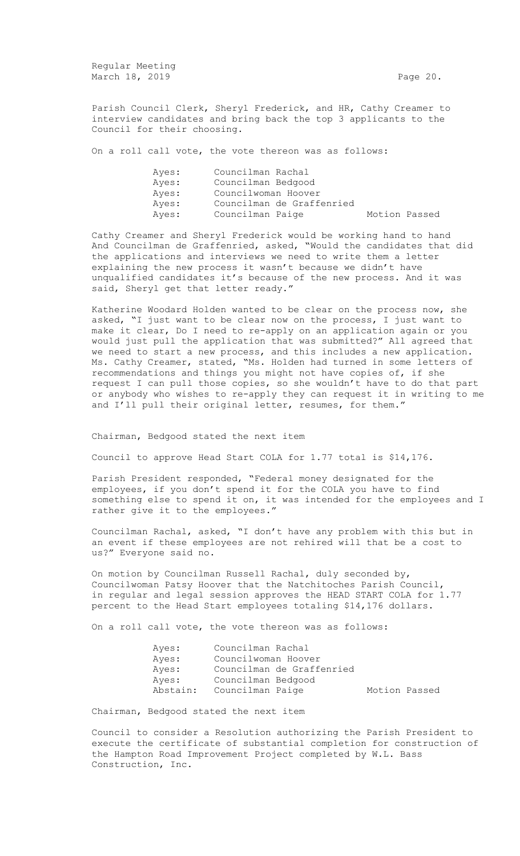Regular Meeting March 18, 2019 **Page 20. Page 20. Page 20.** 

Parish Council Clerk, Sheryl Frederick, and HR, Cathy Creamer to interview candidates and bring back the top 3 applicants to the Council for their choosing.

On a roll call vote, the vote thereon was as follows:

| Ayes: | Councilman Rachal         |               |  |
|-------|---------------------------|---------------|--|
| Aves: | Councilman Bedgood        |               |  |
| Aves: | Councilwoman Hoover       |               |  |
| Aves: | Councilman de Graffenried |               |  |
| Ayes: | Councilman Paige          | Motion Passed |  |

Cathy Creamer and Sheryl Frederick would be working hand to hand And Councilman de Graffenried, asked, "Would the candidates that did the applications and interviews we need to write them a letter explaining the new process it wasn't because we didn't have unqualified candidates it's because of the new process. And it was said, Sheryl get that letter ready."

Katherine Woodard Holden wanted to be clear on the process now, she asked, "I just want to be clear now on the process, I just want to make it clear, Do I need to re-apply on an application again or you would just pull the application that was submitted?" All agreed that we need to start a new process, and this includes a new application. Ms. Cathy Creamer, stated, "Ms. Holden had turned in some letters of recommendations and things you might not have copies of, if she request I can pull those copies, so she wouldn't have to do that part or anybody who wishes to re-apply they can request it in writing to me and I'll pull their original letter, resumes, for them."

Chairman, Bedgood stated the next item

Council to approve Head Start COLA for 1.77 total is \$14,176.

Parish President responded, "Federal money designated for the employees, if you don't spend it for the COLA you have to find something else to spend it on, it was intended for the employees and I rather give it to the employees."

Councilman Rachal, asked, "I don't have any problem with this but in an event if these employees are not rehired will that be a cost to us?" Everyone said no.

On motion by Councilman Russell Rachal, duly seconded by, Councilwoman Patsy Hoover that the Natchitoches Parish Council, in regular and legal session approves the HEAD START COLA for 1.77 percent to the Head Start employees totaling \$14,176 dollars.

On a roll call vote, the vote thereon was as follows:

| Ayes:    | Councilman Rachal   |                           |               |  |
|----------|---------------------|---------------------------|---------------|--|
| Ayes:    | Councilwoman Hoover |                           |               |  |
| Ayes:    |                     | Councilman de Graffenried |               |  |
| Ayes:    | Councilman Bedgood  |                           |               |  |
| Abstain: | Councilman Paige    |                           | Motion Passed |  |

Chairman, Bedgood stated the next item

Council to consider a Resolution authorizing the Parish President to execute the certificate of substantial completion for construction of the Hampton Road Improvement Project completed by W.L. Bass Construction, Inc.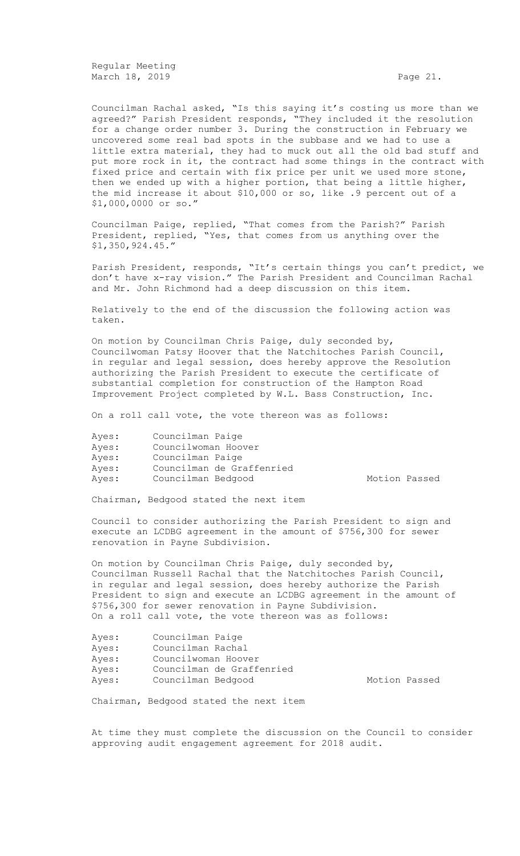Regular Meeting March 18, 2019 **Page 21.** Page 21.

Councilman Rachal asked, "Is this saying it's costing us more than we agreed?" Parish President responds, "They included it the resolution for a change order number 3. During the construction in February we uncovered some real bad spots in the subbase and we had to use a little extra material, they had to muck out all the old bad stuff and put more rock in it, the contract had some things in the contract with fixed price and certain with fix price per unit we used more stone, then we ended up with a higher portion, that being a little higher, the mid increase it about \$10,000 or so, like .9 percent out of a \$1,000,0000 or so."

Councilman Paige, replied, "That comes from the Parish?" Parish President, replied, "Yes, that comes from us anything over the \$1,350,924.45."

Parish President, responds, "It's certain things you can't predict, we don't have x-ray vision." The Parish President and Councilman Rachal and Mr. John Richmond had a deep discussion on this item.

Relatively to the end of the discussion the following action was taken.

On motion by Councilman Chris Paige, duly seconded by, Councilwoman Patsy Hoover that the Natchitoches Parish Council, in regular and legal session, does hereby approve the Resolution authorizing the Parish President to execute the certificate of substantial completion for construction of the Hampton Road Improvement Project completed by W.L. Bass Construction, Inc.

On a roll call vote, the vote thereon was as follows:

| Councilman Paige    |                           |
|---------------------|---------------------------|
| Councilwoman Hoover |                           |
| Councilman Paige    |                           |
|                     | Councilman de Graffenried |
| Councilman Bedgood  |                           |
|                     |                           |

Motion Passed

Chairman, Bedgood stated the next item

Council to consider authorizing the Parish President to sign and execute an LCDBG agreement in the amount of \$756,300 for sewer renovation in Payne Subdivision.

On motion by Councilman Chris Paige, duly seconded by, Councilman Russell Rachal that the Natchitoches Parish Council, in regular and legal session, does hereby authorize the Parish President to sign and execute an LCDBG agreement in the amount of \$756,300 for sewer renovation in Payne Subdivision. On a roll call vote, the vote thereon was as follows:

| Councilman Paige          |               |  |
|---------------------------|---------------|--|
| Councilman Rachal         |               |  |
| Councilwoman Hoover       |               |  |
| Councilman de Graffenried |               |  |
| Councilman Bedgood        | Motion Passed |  |
|                           |               |  |

Chairman, Bedgood stated the next item

At time they must complete the discussion on the Council to consider approving audit engagement agreement for 2018 audit.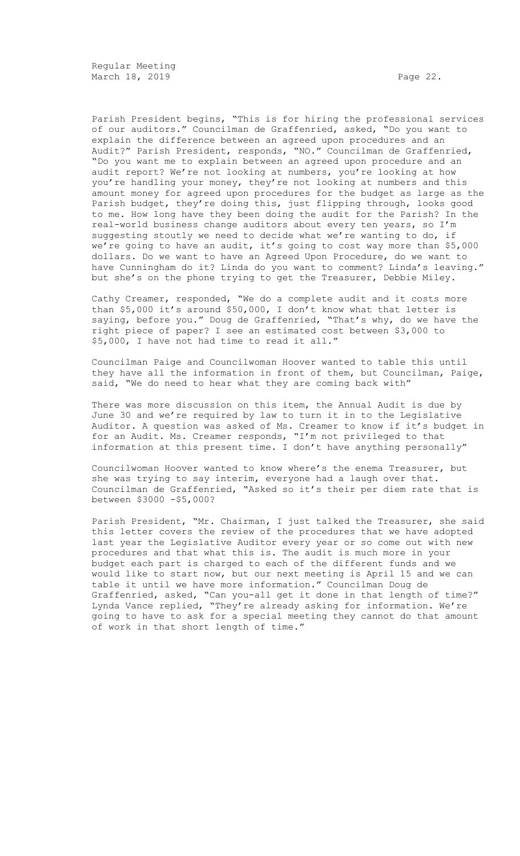Parish President begins, "This is for hiring the professional services of our auditors." Councilman de Graffenried, asked, "Do you want to explain the difference between an agreed upon procedures and an Audit?" Parish President, responds, "NO." Councilman de Graffenried, "Do you want me to explain between an agreed upon procedure and an audit report? We're not looking at numbers, you're looking at how you're handling your money, they're not looking at numbers and this amount money for agreed upon procedures for the budget as large as the Parish budget, they're doing this, just flipping through, looks good to me. How long have they been doing the audit for the Parish? In the real-world business change auditors about every ten years, so I'm suggesting stoutly we need to decide what we're wanting to do, if we're going to have an audit, it's going to cost way more than \$5,000 dollars. Do we want to have an Agreed Upon Procedure, do we want to have Cunningham do it? Linda do you want to comment? Linda's leaving." but she's on the phone trying to get the Treasurer, Debbie Miley.

Cathy Creamer, responded, "We do a complete audit and it costs more than \$5,000 it's around \$50,000, I don't know what that letter is saying, before you." Doug de Graffenried, "That's why, do we have the right piece of paper? I see an estimated cost between \$3,000 to \$5,000, I have not had time to read it all."

Councilman Paige and Councilwoman Hoover wanted to table this until they have all the information in front of them, but Councilman, Paige, said, "We do need to hear what they are coming back with"

There was more discussion on this item, the Annual Audit is due by June 30 and we're required by law to turn it in to the Legislative Auditor. A question was asked of Ms. Creamer to know if it's budget in for an Audit. Ms. Creamer responds, "I'm not privileged to that information at this present time. I don't have anything personally"

Councilwoman Hoover wanted to know where's the enema Treasurer, but she was trying to say interim, everyone had a laugh over that. Councilman de Graffenried, "Asked so it's their per diem rate that is between \$3000 -\$5,000?

Parish President, "Mr. Chairman, I just talked the Treasurer, she said this letter covers the review of the procedures that we have adopted last year the Legislative Auditor every year or so come out with new procedures and that what this is. The audit is much more in your budget each part is charged to each of the different funds and we would like to start now, but our next meeting is April 15 and we can table it until we have more information." Councilman Doug de Graffenried, asked, "Can you-all get it done in that length of time?" Lynda Vance replied, "They're already asking for information. We're going to have to ask for a special meeting they cannot do that amount of work in that short length of time."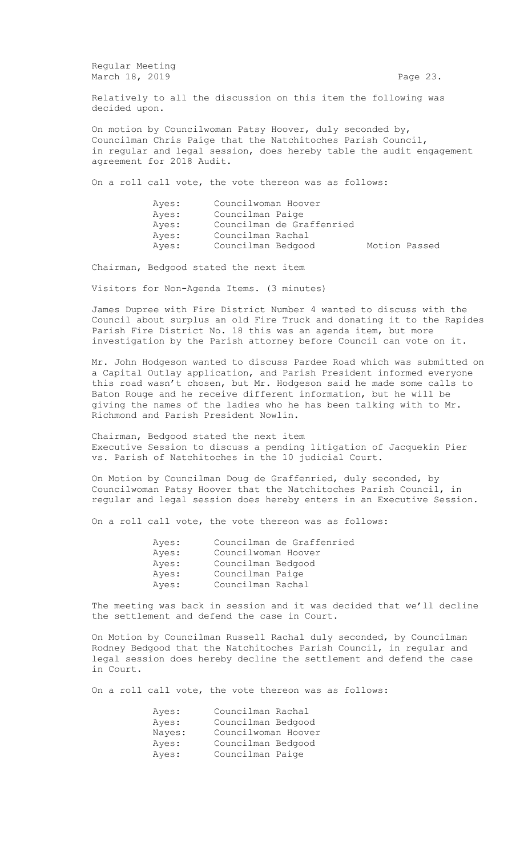Regular Meeting March 18, 2019 **Page 23.** Page 23.

Relatively to all the discussion on this item the following was decided upon.

On motion by Councilwoman Patsy Hoover, duly seconded by, Councilman Chris Paige that the Natchitoches Parish Council, in regular and legal session, does hereby table the audit engagement agreement for 2018 Audit.

On a roll call vote, the vote thereon was as follows:

| Ayes: | Councilwoman Hoover |                           |               |  |
|-------|---------------------|---------------------------|---------------|--|
| Ayes: | Councilman Paige    |                           |               |  |
| Ayes: |                     | Councilman de Graffenried |               |  |
| Ayes: | Councilman Rachal   |                           |               |  |
| Ayes: | Councilman Bedgood  |                           | Motion Passed |  |

Chairman, Bedgood stated the next item

Visitors for Non-Agenda Items. (3 minutes)

James Dupree with Fire District Number 4 wanted to discuss with the Council about surplus an old Fire Truck and donating it to the Rapides Parish Fire District No. 18 this was an agenda item, but more investigation by the Parish attorney before Council can vote on it.

Mr. John Hodgeson wanted to discuss Pardee Road which was submitted on a Capital Outlay application, and Parish President informed everyone this road wasn't chosen, but Mr. Hodgeson said he made some calls to Baton Rouge and he receive different information, but he will be giving the names of the ladies who he has been talking with to Mr. Richmond and Parish President Nowlin.

Chairman, Bedgood stated the next item Executive Session to discuss a pending litigation of Jacquekin Pier vs. Parish of Natchitoches in the 10 judicial Court.

On Motion by Councilman Doug de Graffenried, duly seconded, by Councilwoman Patsy Hoover that the Natchitoches Parish Council, in regular and legal session does hereby enters in an Executive Session.

On a roll call vote, the vote thereon was as follows:

| Councilman de Graffenried |
|---------------------------|
| Councilwoman Hoover       |
| Councilman Bedgood        |
| Councilman Paige          |
| Councilman Rachal         |
|                           |

The meeting was back in session and it was decided that we'll decline the settlement and defend the case in Court.

On Motion by Councilman Russell Rachal duly seconded, by Councilman Rodney Bedgood that the Natchitoches Parish Council, in regular and legal session does hereby decline the settlement and defend the case in Court.

On a roll call vote, the vote thereon was as follows:

| Ayes:  | Councilman Rachal   |  |
|--------|---------------------|--|
| Ayes:  | Councilman Bedgood  |  |
| Nayes: | Councilwoman Hoover |  |
| Ayes:  | Councilman Bedgood  |  |
| Ayes:  | Councilman Paige    |  |